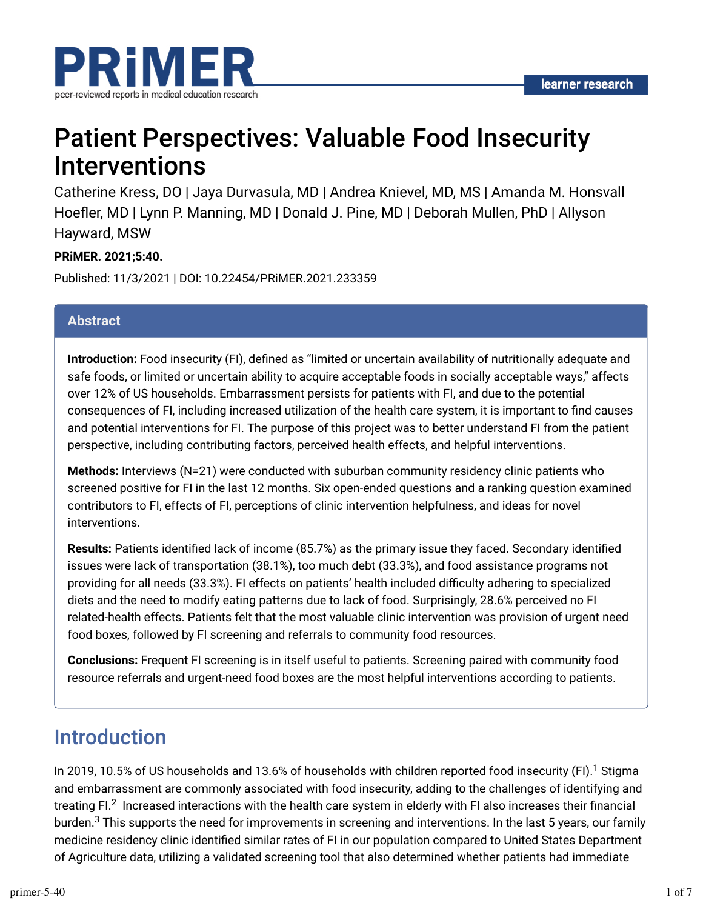

# Patient Perspectives: Valuable Food Insecurity Interventions

Catherine Kress, DO | Jaya Durvasula, MD | Andrea Knievel, MD, MS | Amanda M. Honsvall Hoefler, MD | Lynn P. Manning, MD | Donald J. Pine, MD | Deborah Mullen, PhD | Allyson Hayward, MSW

### **PRiMER. 2021;5:40.**

Published: 11/3/2021 | DOI: 10.22454/PRiMER.2021.233359

#### **Abstract**

**Introduction:** Food insecurity (FI), defined as "limited or uncertain availability of nutritionally adequate and safe foods, or limited or uncertain ability to acquire acceptable foods in socially acceptable ways," affects over 12% of US households. Embarrassment persists for patients with FI, and due to the potential consequences of FI, including increased utilization of the health care system, it is important to find causes and potential interventions for FI. The purpose of this project was to better understand FI from the patient perspective, including contributing factors, perceived health effects, and helpful interventions.

**Methods:** Interviews (N=21) were conducted with suburban community residency clinic patients who screened positive for FI in the last 12 months. Six open-ended questions and a ranking question examined contributors to FI, effects of FI, perceptions of clinic intervention helpfulness, and ideas for novel interventions.

Results: Patients identified lack of income (85.7%) as the primary issue they faced. Secondary identified issues were lack of transportation (38.1%), too much debt (33.3%), and food assistance programs not providing for all needs (33.3%). FI effects on patients' health included difficulty adhering to specialized diets and the need to modify eating patterns due to lack of food. Surprisingly, 28.6% perceived no FI related-health effects. Patients felt that the most valuable clinic intervention was provision of urgent need food boxes, followed by FI screening and referrals to community food resources.

**Conclusions:** Frequent FI screening is in itself useful to patients. Screening paired with community food resource referrals and urgent-need food boxes are the most helpful interventions according to patients.

### Introduction

In 2019, 10.5% of US households and 13.6% of households with children reported food insecurity (FI). $^{\rm 1}$  Stigma and embarrassment are commonly associated with food insecurity, adding to the challenges of identifying and treating FI. $^2\,$  Increased interactions with the health care system in elderly with FI also increases their financial burden. $^3$  This supports the need for improvements in screening and interventions. In the last 5 years, our family medicine residency clinic identified similar rates of FI in our population compared to United States Department of Agriculture data, utilizing a validated screening tool that also determined whether patients had immediate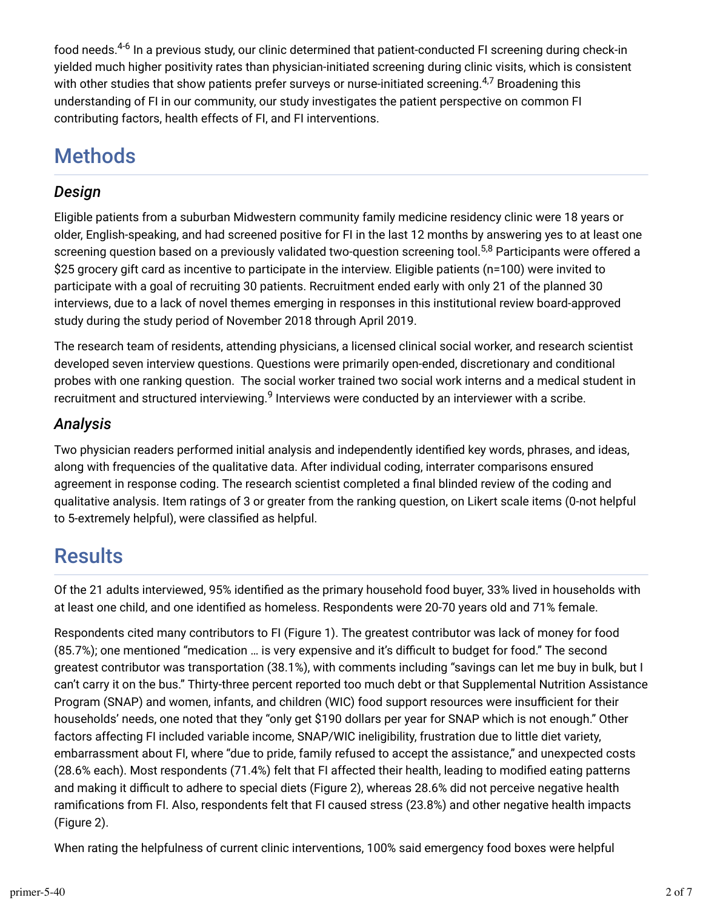food needs.<sup>4-6</sup> In a previous study, our clinic determined that patient-conducted FI screening during check-in yielded much higher positivity rates than physician-initiated screening during clinic visits, which is consistent with other studies that show patients prefer surveys or nurse-initiated screening. $^{4,7}$  Broadening this understanding of FI in our community, our study investigates the patient perspective on common FI contributing factors, health effects of FI, and FI interventions.

## Methods

### *Design*

Eligible patients from a suburban Midwestern community family medicine residency clinic were 18 years or older, English-speaking, and had screened positive for FI in the last 12 months by answering yes to at least one screening question based on a previously validated two-question screening tool.<sup>5,8</sup> Participants were offered a \$25 grocery gift card as incentive to participate in the interview. Eligible patients (n=100) were invited to participate with a goal of recruiting 30 patients. Recruitment ended early with only 21 of the planned 30 interviews, due to a lack of novel themes emerging in responses in this institutional review board-approved study during the study period of November 2018 through April 2019.

The research team of residents, attending physicians, a licensed clinical social worker, and research scientist developed seven interview questions. Questions were primarily open-ended, discretionary and conditional probes with one ranking question. The social worker trained two social work interns and a medical student in recruitment and structured interviewing. $^9$  Interviews were conducted by an interviewer with a scribe.

### *Analysis*

Two physician readers performed initial analysis and independently identified key words, phrases, and ideas, along with frequencies of the qualitative data. After individual coding, interrater comparisons ensured agreement in response coding. The research scientist completed a final blinded review of the coding and qualitative analysis. Item ratings of 3 or greater from the ranking question, on Likert scale items (0-not helpful to 5-extremely helpful), were classified as helpful.

### **Results**

Of the 21 adults interviewed, 95% identified as the primary household food buyer, 33% lived in households with at least one child, and one identified as homeless. Respondents were 20-70 years old and 71% female.

Respondents cited many contributors to FI (Figure 1). The greatest contributor was lack of money for food (85.7%); one mentioned "medication ... is very expensive and it's difficult to budget for food." The second greatest contributor was transportation (38.1%), with comments including "savings can let me buy in bulk, but I can't carry it on the bus." Thirty-three percent reported too much debt or that Supplemental Nutrition Assistance Program (SNAP) and women, infants, and children (WIC) food support resources were insufficient for their households' needs, one noted that they "only get \$190 dollars per year for SNAP which is not enough." Other factors affecting FI included variable income, SNAP/WIC ineligibility, frustration due to little diet variety, embarrassment about FI, where "due to pride, family refused to accept the assistance," and unexpected costs (28.6% each). Most respondents (71.4%) felt that FI affected their health, leading to modified eating patterns and making it difficult to adhere to special diets (Figure 2), whereas 28.6% did not perceive negative health ramifications from FI. Also, respondents felt that FI caused stress (23.8%) and other negative health impacts (Figure 2).

When rating the helpfulness of current clinic interventions, 100% said emergency food boxes were helpful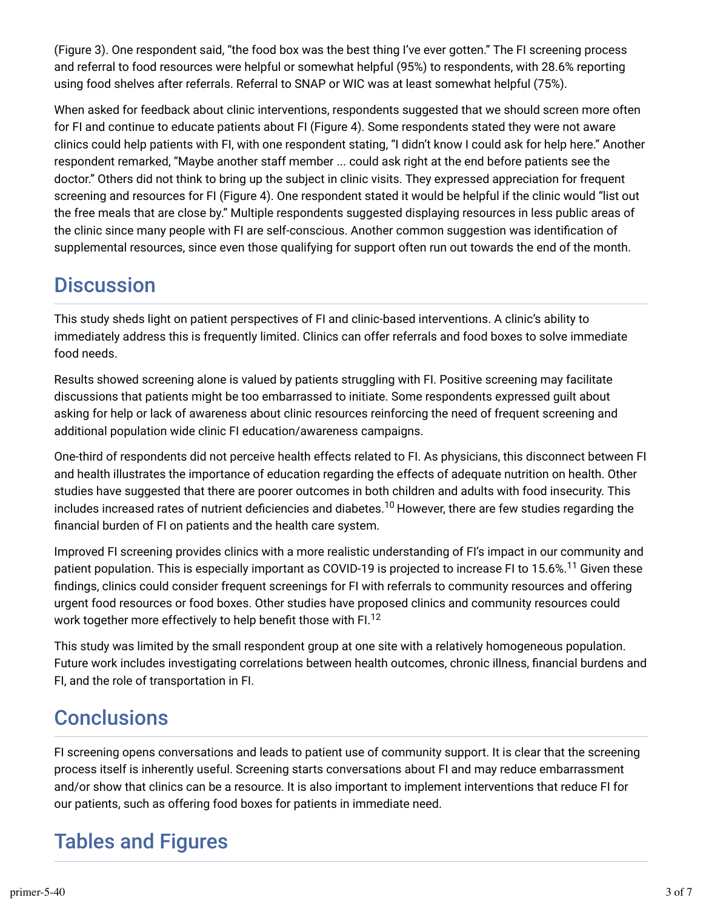(Figure 3). One respondent said, "the food box was the best thing I've ever gotten." The FI screening process and referral to food resources were helpful or somewhat helpful (95%) to respondents, with 28.6% reporting using food shelves after referrals. Referral to SNAP or WIC was at least somewhat helpful (75%).

When asked for feedback about clinic interventions, respondents suggested that we should screen more often for FI and continue to educate patients about FI (Figure 4). Some respondents stated they were not aware clinics could help patients with FI, with one respondent stating, "I didn't know I could ask for help here." Another respondent remarked, ''Maybe another staff member ... could ask right at the end before patients see the doctor." Others did not think to bring up the subject in clinic visits. They expressed appreciation for frequent screening and resources for FI (Figure 4). One respondent stated it would be helpful if the clinic would "list out the free meals that are close by." Multiple respondents suggested displaying resources in less public areas of the clinic since many people with FI are self-conscious. Another common suggestion was identification of supplemental resources, since even those qualifying for support often run out towards the end of the month.

## **Discussion**

This study sheds light on patient perspectives of FI and clinic-based interventions. A clinic's ability to immediately address this is frequently limited. Clinics can offer referrals and food boxes to solve immediate food needs.

Results showed screening alone is valued by patients struggling with FI. Positive screening may facilitate discussions that patients might be too embarrassed to initiate. Some respondents expressed guilt about asking for help or lack of awareness about clinic resources reinforcing the need of frequent screening and additional population wide clinic FI education/awareness campaigns.

One-third of respondents did not perceive health effects related to FI. As physicians, this disconnect between FI and health illustrates the importance of education regarding the effects of adequate nutrition on health. Other studies have suggested that there are poorer outcomes in both children and adults with food insecurity. This includes increased rates of nutrient deficiencies and diabetes. $^{10}$  However, there are few studies regarding the financial burden of FI on patients and the health care system.

Improved FI screening provides clinics with a more realistic understanding of FI's impact in our community and patient population. This is especially important as COVID-19 is projected to increase FI to 15.6%.<sup>11</sup> Given these findings, clinics could consider frequent screenings for FI with referrals to community resources and offering urgent food resources or food boxes. Other studies have proposed clinics and community resources could work together more effectively to help benefit those with FI. $^{12}$ 

This study was limited by the small respondent group at one site with a relatively homogeneous population. Future work includes investigating correlations between health outcomes, chronic illness, financial burdens and FI, and the role of transportation in FI.

## **Conclusions**

FI screening opens conversations and leads to patient use of community support. It is clear that the screening process itself is inherently useful. Screening starts conversations about FI and may reduce embarrassment and/or show that clinics can be a resource. It is also important to implement interventions that reduce FI for our patients, such as offering food boxes for patients in immediate need.

## Tables and Figures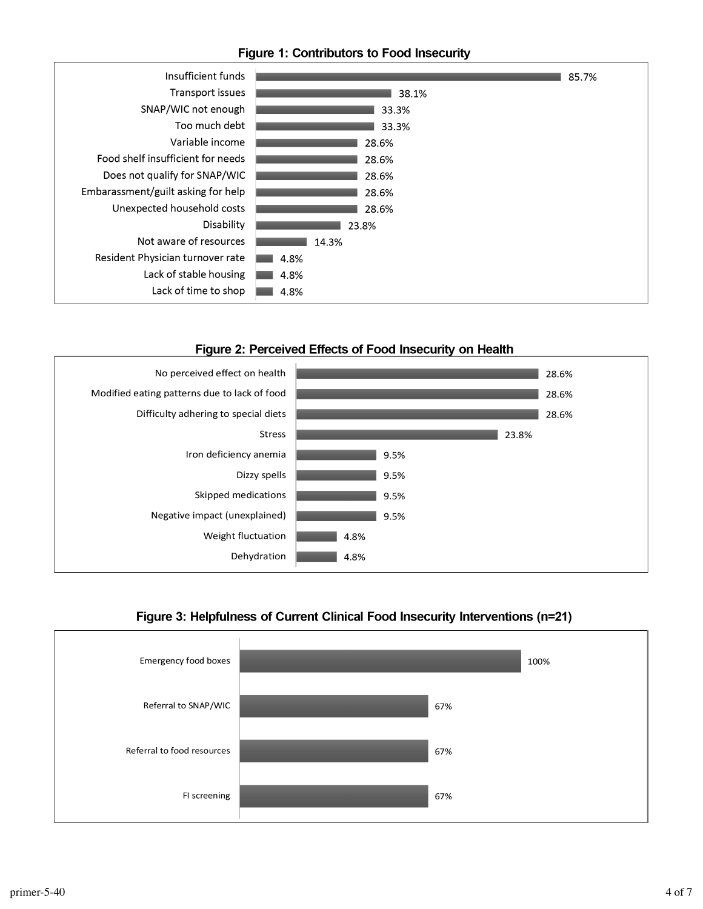#### **Figure 1: Contributors to Food Insecurity**







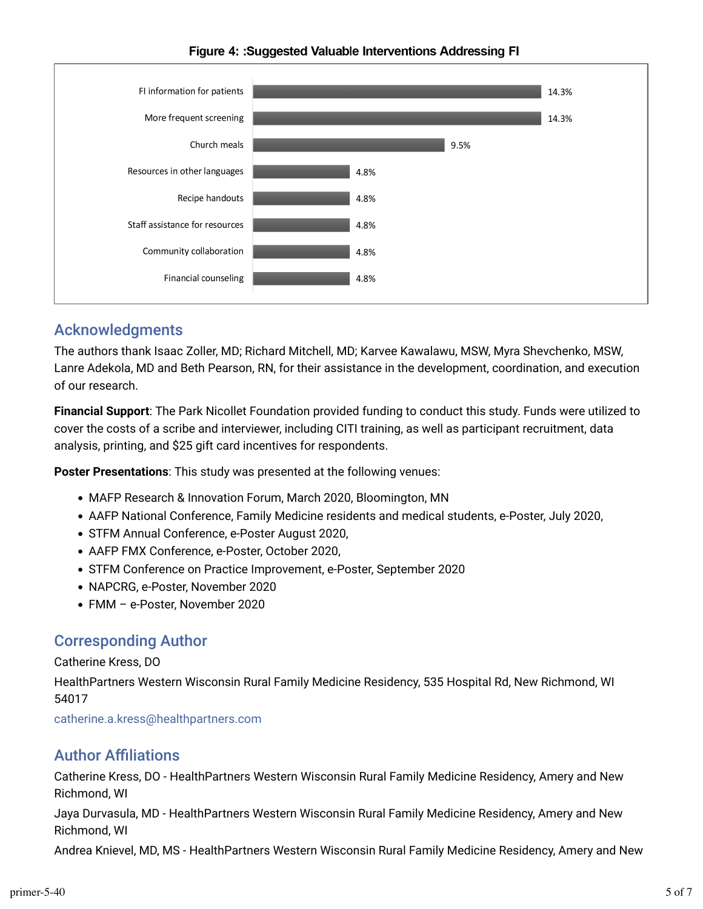

#### Figure 4: :Suggested Valuable Interventions Addressing FI

### Acknowledgments

The authors thank Isaac Zoller, MD; Richard Mitchell, MD; Karvee Kawalawu, MSW, Myra Shevchenko, MSW, Lanre Adekola, MD and Beth Pearson, RN, for their assistance in the development, coordination, and execution of our research.

**Financial Support**: The Park Nicollet Foundation provided funding to conduct this study. Funds were utilized to cover the costs of a scribe and interviewer, including CITI training, as well as participant recruitment, data analysis, printing, and \$25 gift card incentives for respondents.

**Poster Presentations**: This study was presented at the following venues:

- MAFP Research & Innovation Forum, March 2020, Bloomington, MN
- AAFP National Conference, Family Medicine residents and medical students, e-Poster, July 2020,
- STFM Annual Conference, e-Poster August 2020,
- AAFP FMX Conference, e-Poster, October 2020,
- STFM Conference on Practice Improvement, e-Poster, September 2020
- NAPCRG, e-Poster, November 2020
- FMM e-Poster, November 2020

### Corresponding Author

#### Catherine Kress, DO

HealthPartners Western Wisconsin Rural Family Medicine Residency, 535 Hospital Rd, New Richmond, WI 54017

[catherine.a.kress@healthpartners.com](mailto:catherine.a.kress@healthpartners.com)

### **Author Affiliations**

Catherine Kress, DO - HealthPartners Western Wisconsin Rural Family Medicine Residency, Amery and New Richmond, WI

Jaya Durvasula, MD - HealthPartners Western Wisconsin Rural Family Medicine Residency, Amery and New Richmond, WI

Andrea Knievel, MD, MS - HealthPartners Western Wisconsin Rural Family Medicine Residency, Amery and New